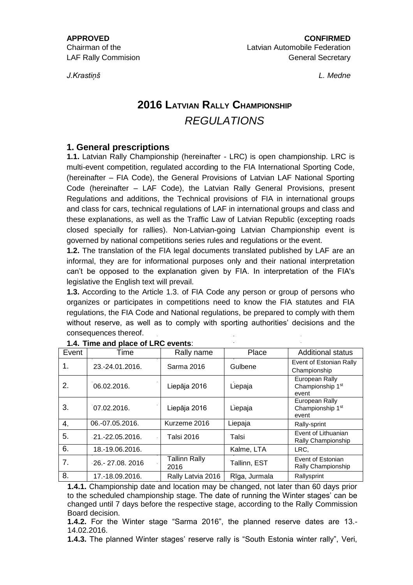*J.Krastiņš L. Medne*

# **2016 LATVIAN RALLY CHAMPIONSHIP** *REGULATIONS*

# **1. General prescriptions**

**1.1.** Latvian Rally Championship (hereinafter - LRC) is open championship. LRC is multi-event competition, regulated according to the FIA International Sporting Code, (hereinafter – FIA Code), the General Provisions of Latvian LAF National Sporting Code (hereinafter – LAF Code), the Latvian Rally General Provisions, present Regulations and additions, the Technical provisions of FIA in international groups and class for cars, technical regulations of LAF in international groups and class and these explanations, as well as the Traffic Law of Latvian Republic (excepting roads closed specially for rallies). Non-Latvian-going Latvian Championship event is governed by national competitions series rules and regulations or the event.

**1.2.** The translation of the FIA legal documents translated published by LAF are an informal, they are for informational purposes only and their national interpretation can't be opposed to the explanation given by FIA. In interpretation of the FIA's legislative the English text will prevail.

**1.3.** According to the Article 1.3. of FIA Code any person or group of persons who organizes or participates in competitions need to know the FIA statutes and FIA regulations, the FIA Code and National regulations, be prepared to comply with them without reserve, as well as to comply with sporting authorities' decisions and the consequences thereof.

| Event | Time            | Rally name                   | Place         | <b>Additional status</b>                                |
|-------|-----------------|------------------------------|---------------|---------------------------------------------------------|
| 1.    | 23.-24.01.2016. | Sarma 2016                   | Gulbene       | Event of Estonian Rally<br>Championship                 |
| 2.    | 06.02.2016.     | Liepāja 2016                 | Liepaja       | European Rally<br>Championship 1st<br>event             |
| 3.    | 07.02.2016.     | Liepāja 2016                 | Liepaja       | European Rally<br>Championship 1 <sup>st</sup><br>event |
| 4.    | 06.-07.05.2016. | Kurzeme 2016                 | Liepaja       | Rally-sprint                                            |
| 5.    | 21.-22.05.2016. | Talsi 2016                   | Talsi         | Event of Lithuanian<br>Rally Championship               |
| 6.    | 18.-19.06.2016. |                              | Kalme, LTA    | LRC.                                                    |
| 7.    | 26 - 27.08.2016 | <b>Tallinn Rally</b><br>2016 | Tallinn, EST  | Event of Estonian<br>Rally Championship                 |
| 8.    | 17.-18.09.2016. | Rally Latvia 2016            | Rīga, Jurmala | Rallysprint                                             |

**1.4.1.** Championship date and location may be changed, not later than 60 days prior to the scheduled championship stage. The date of running the Winter stages' can be changed until 7 days before the respective stage, according to the Rally Commission Board decision.

**1.4.2.** For the Winter stage "Sarma 2016", the planned reserve dates are 13.- 14.02.2016.

**1.4.3.** The planned Winter stages' reserve rally is "South Estonia winter rally", Veri,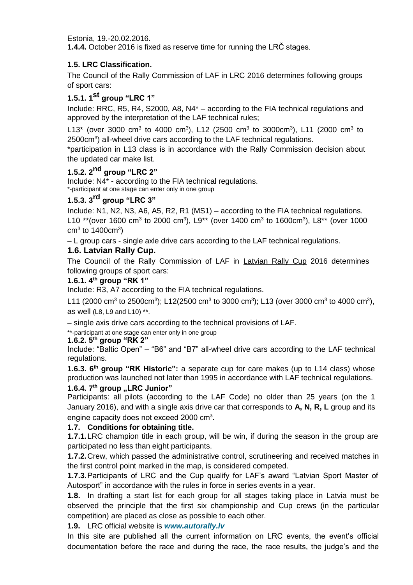Estonia, 19.-20.02.2016.

**1.4.4.** October 2016 is fixed as reserve time for running the LRČ stages.

## **1.5. LRC Classification.**

The Council of the Rally Commission of LAF in LRC 2016 determines following groups of sport cars:

# **1.5.1. 1st group "LRC 1"**

Include: RRC, R5, R4, S2000, A8, N4\* – according to the FIA technical regulations and approved by the interpretation of the LAF technical rules;

L13\* (over 3000 cm<sup>3</sup> to 4000 cm<sup>3</sup>), L12 (2500 cm<sup>3</sup> to 3000cm<sup>3</sup>), L11 (2000 cm<sup>3</sup> to 2500cm<sup>3</sup>) all-wheel drive cars according to the LAF technical regulations.

\*participation in L13 class is in accordance with the Rally Commission decision about the updated car make list.

# **1.5.2. 2nd group "LRC 2"**

Include: N4\* - according to the FIA technical regulations. \*-participant at one stage can enter only in one group

# **1.5.3. 3rd group "LRC 3"**

Include: N1, N2, N3, A6, A5, R2, R1 (MS1) – according to the FIA technical regulations. L10 \*\*(over 1600 cm<sup>3</sup> to 2000 cm<sup>3</sup>), L9\*\* (over 1400 cm<sup>3</sup> to 1600cm<sup>3</sup>), L8\*\* (over 1000 cm<sup>3</sup> to 1400cm<sup>3</sup>)

– L group cars - single axle drive cars according to the LAF technical regulations.

## **1.6. Latvian Rally Cup.**

The Council of the Rally Commission of LAF in Latvian Rally Cup 2016 determines following groups of sport cars:

#### **1.6.1. 4th group "RK 1"**

Include: R3, A7 according to the FIA technical regulations.

L11 (2000 cm<sup>3</sup> to 2500cm<sup>3</sup>); L12(2500 cm<sup>3</sup> to 3000 cm<sup>3</sup>); L13 (over 3000 cm<sup>3</sup> to 4000 cm<sup>3</sup>), as well (L8, L9 and L10) \*\*.

– single axis drive cars according to the technical provisions of LAF.

\*\*-participant at one stage can enter only in one group

#### **1.6.2. 5th group "RK 2"**

Include: "Baltic Open" – "B6" and "B7" all-wheel drive cars according to the LAF technical regulations.

**1.6.3. 6th group "RK Historic":** a separate cup for care makes (up to L14 class) whose production was launched not later than 1995 in accordance with LAF technical regulations.

#### **1.6.4. 7 th group "LRC Junior"**

Participants: all pilots (according to the LAF Code) no older than 25 years (on the 1 January 2016), and with a single axis drive car that corresponds to **A, N, R, L** group and its engine capacity does not exceed 2000 cm<sup>3</sup>.

## **1.7. Conditions for obtaining title.**

**1.7.1.**LRC champion title in each group, will be win, if during the season in the group are participated no less than eight participants.

**1.7.2.**Crew, which passed the administrative control, scrutineering and received matches in the first control point marked in the map, is considered competed.

**1.7.3.**Participants of LRC and the Cup qualify for LAF's award "Latvian Sport Master of Autosport" in accordance with the rules in force in series events in a year.

**1.8.** In drafting a start list for each group for all stages taking place in Latvia must be observed the principle that the first six championship and Cup crews (in the particular competition) are placed as close as possible to each other.

**1.9.** LRC official website is *www.autorally.lv*

In this site are published all the current information on LRC events, the event's official documentation before the race and during the race, the race results, the judge's and the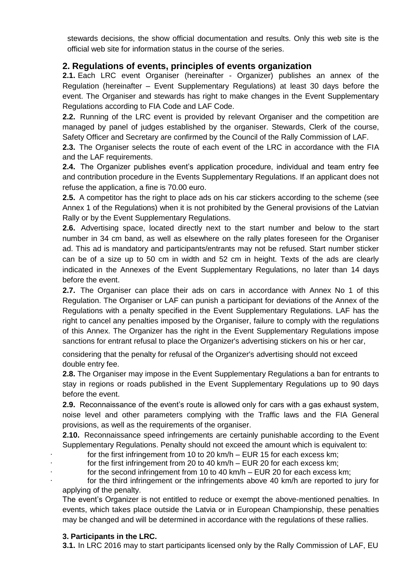stewards decisions, the show official documentation and results. Only this web site is the official web site for information status in the course of the series.

# **2. Regulations of events, principles of events organization**

**2.1.** Each LRC event Organiser (hereinafter - Organizer) publishes an annex of the Regulation (hereinafter – Event Supplementary Regulations) at least 30 days before the event. The Organiser and stewards has right to make changes in the Event Supplementary Regulations according to FIA Code and LAF Code.

**2.2.** Running of the LRC event is provided by relevant Organiser and the competition are managed by panel of judges established by the organiser. Stewards, Clerk of the course, Safety Officer and Secretary are confirmed by the Council of the Rally Commission of LAF.

**2.3.** The Organiser selects the route of each event of the LRC in accordance with the FIA and the LAF requirements.

**2.4.** The Organizer publishes event's application procedure, individual and team entry fee and contribution procedure in the Events Supplementary Regulations. If an applicant does not refuse the application, a fine is 70.00 euro.

**2.5.** A competitor has the right to place ads on his car stickers according to the scheme (see Annex 1 of the Regulations) when it is not prohibited by the General provisions of the Latvian Rally or by the Event Supplementary Regulations.

**2.6.** Advertising space, located directly next to the start number and below to the start number in 34 cm band, as well as elsewhere on the rally plates foreseen for the Organiser ad. This ad is mandatory and participants/entrants may not be refused. Start number sticker can be of a size up to 50 cm in width and 52 cm in height. Texts of the ads are clearly indicated in the Annexes of the Event Supplementary Regulations, no later than 14 days before the event.

**2.7.** The Organiser can place their ads on cars in accordance with Annex No 1 of this Regulation. The Organiser or LAF can punish a participant for deviations of the Annex of the Regulations with a penalty specified in the Event Supplementary Regulations. LAF has the right to cancel any penalties imposed by the Organiser, failure to comply with the regulations of this Annex. The Organizer has the right in the Event Supplementary Regulations impose sanctions for entrant refusal to place the Organizer's advertising stickers on his or her car,

considering that the penalty for refusal of the Organizer's advertising should not exceed double entry fee.

**2.8.** The Organiser may impose in the Event Supplementary Regulations a ban for entrants to stay in regions or roads published in the Event Supplementary Regulations up to 90 days before the event.

**2.9.** Reconnaissance of the event's route is allowed only for cars with a gas exhaust system, noise level and other parameters complying with the Traffic laws and the FIA General provisions, as well as the requirements of the organiser.

**2.10.** Reconnaissance speed infringements are certainly punishable according to the Event Supplementary Regulations. Penalty should not exceed the amount which is equivalent to:

for the first infringement from 10 to 20 km/h  $-$  EUR 15 for each excess km;

for the first infringement from 20 to 40 km/h  $-$  EUR 20 for each excess km;

for the second infringement from 10 to 40 km/h  $-$  EUR 20 for each excess km; for the third infringement or the infringements above 40 km/h are reported to jury for

applying of the penalty.

The event's Organizer is not entitled to reduce or exempt the above-mentioned penalties. In events, which takes place outside the Latvia or in European Championship, these penalties may be changed and will be determined in accordance with the regulations of these rallies.

# **3. Participants in the LRC.**

**3.1.** In LRC 2016 may to start participants licensed only by the Rally Commission of LAF, EU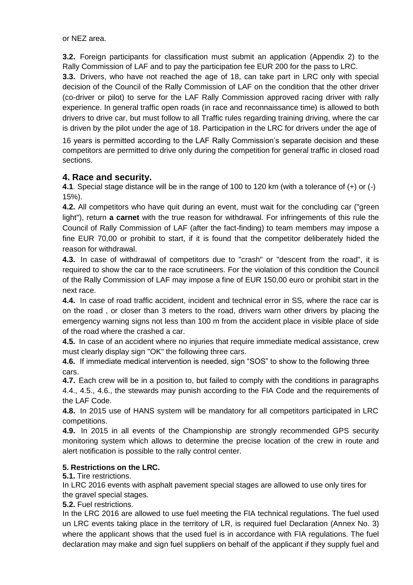or NEZ area.

**3.2.** Foreign participants for classification must submit an application (Appendix 2) to the Rally Commission of LAF and to pay the participation fee EUR 200 for the pass to LRC.

**3.3.** Drivers, who have not reached the age of 18, can take part in LRC only with special decision of the Council of the Rally Commission of LAF on the condition that the other driver (co-driver or pilot) to serve for the LAF Rally Commission approved racing driver with rally experience. In general traffic open roads (in race and reconnaissance time) is allowed to both drivers to drive car, but must follow to all Traffic rules regarding training driving, where the car is driven by the pilot under the age of 18. Participation in the LRC for drivers under the age of

16 years is permitted according to the LAF Rally Commission's separate decision and these competitors are permitted to drive only during the competition for general traffic in closed road sections.

# **4. Race and security.**

**4.1**. Special stage distance will be in the range of 100 to 120 km (with a tolerance of (+) or (-) 15%).

**4.2.** All competitors who have quit during an event, must wait for the concluding car ("green light"), return **a carnet** with the true reason for withdrawal. For infringements of this rule the Council of Rally Commission of LAF (after the fact-finding) to team members may impose a fine EUR 70,00 or prohibit to start, if it is found that the competitor deliberately hided the reason for withdrawal.

**4.3.** In case of withdrawal of competitors due to "crash" or "descent from the road", it is required to show the car to the race scrutineers. For the violation of this condition the Council of the Rally Commission of LAF may impose a fine of EUR 150,00 euro or prohibit start in the next race.

**4.4.** In case of road traffic accident, incident and technical error in SS, where the race car is on the road , or closer than 3 meters to the road, drivers warn other drivers by placing the emergency warning signs not less than 100 m from the accident place in visible place of side of the road where the crashed a car.

**4.5.** In case of an accident where no injuries that require immediate medical assistance, crew must clearly display sign "OK" the following three cars.

**4.6.** If immediate medical intervention is needed, sign "SOS" to show to the following three cars.

**4.7.** Each crew will be in a position to, but failed to comply with the conditions in paragraphs 4.4., 4.5., 4.6., the stewards may punish according to the FIA Code and the requirements of the LAF Code.

**4.8.** In 2015 use of HANS system will be mandatory for all competitors participated in LRC competitions.

**4.9.** In 2015 in all events of the Championship are strongly recommended GPS security monitoring system which allows to determine the precise location of the crew in route and alert notification is possible to the rally control center.

# **5. Restrictions on the LRC.**

**5.1.** Tire restrictions.

In LRC 2016 events with asphalt pavement special stages are allowed to use only tires for the gravel special stages.

**5.2.** Fuel restrictions.

In the LRC 2016 are allowed to use fuel meeting the FIA technical regulations. The fuel used un LRC events taking place in the territory of LR, is required fuel Declaration (Annex No. 3) where the applicant shows that the used fuel is in accordance with FIA regulations. The fuel declaration may make and sign fuel suppliers on behalf of the applicant if they supply fuel and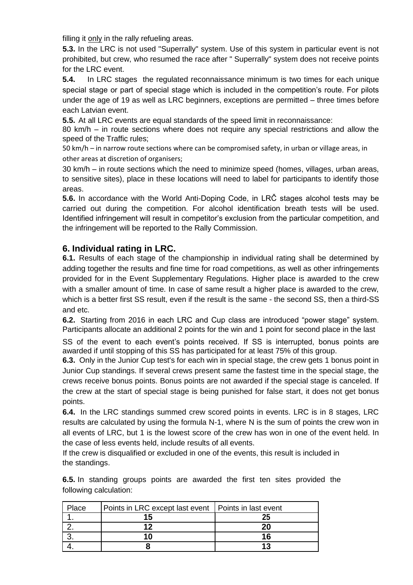filling it only in the rally refueling areas.

**5.3.** In the LRC is not used "Superrally" system. Use of this system in particular event is not prohibited, but crew, who resumed the race after " Superrally" system does not receive points for the LRC event.

**5.4.** In LRC stages the regulated reconnaissance minimum is two times for each unique special stage or part of special stage which is included in the competition's route. For pilots under the age of 19 as well as LRC beginners, exceptions are permitted – three times before each Latvian event.

**5.5.** At all LRC events are equal standards of the speed limit in reconnaissance:

80 km/h – in route sections where does not require any special restrictions and allow the speed of the Traffic rules;

50 km/h – in narrow route sections where can be compromised safety, in urban or village areas, in other areas at discretion of organisers;

30 km/h – in route sections which the need to minimize speed (homes, villages, urban areas, to sensitive sites), place in these locations will need to label for participants to identify those areas.

**5.6.** In accordance with the World Anti-Doping Code, in LRČ stages alcohol tests may be carried out during the competition. For alcohol identification breath tests will be used. Identified infringement will result in competitor's exclusion from the particular competition, and the infringement will be reported to the Rally Commission.

# **6. Individual rating in LRC.**

**6.1.** Results of each stage of the championship in individual rating shall be determined by adding together the results and fine time for road competitions, as well as other infringements provided for in the Event Supplementary Regulations. Higher place is awarded to the crew with a smaller amount of time. In case of same result a higher place is awarded to the crew, which is a better first SS result, even if the result is the same - the second SS, then a third-SS and etc.

**6.2.** Starting from 2016 in each LRC and Cup class are introduced "power stage" system. Participants allocate an additional 2 points for the win and 1 point for second place in the last

SS of the event to each event's points received. If SS is interrupted, bonus points are awarded if until stopping of this SS has participated for at least 75% of this group.

**6.3.** Only in the Junior Cup test's for each win in special stage, the crew gets 1 bonus point in Junior Cup standings. If several crews present same the fastest time in the special stage, the crews receive bonus points. Bonus points are not awarded if the special stage is canceled. If the crew at the start of special stage is being punished for false start, it does not get bonus points.

**6.4.** In the LRC standings summed crew scored points in events. LRC is in 8 stages, LRC results are calculated by using the formula N-1, where N is the sum of points the crew won in all events of LRC, but 1 is the lowest score of the crew has won in one of the event held. In the case of less events held, include results of all events.

If the crew is disqualified or excluded in one of the events, this result is included in the standings.

**6.5.** In standing groups points are awarded the first ten sites provided the following calculation:

| Place | Points in LRC except last event   Points in last event |  |
|-------|--------------------------------------------------------|--|
|       |                                                        |  |
|       | 12                                                     |  |
|       |                                                        |  |
|       |                                                        |  |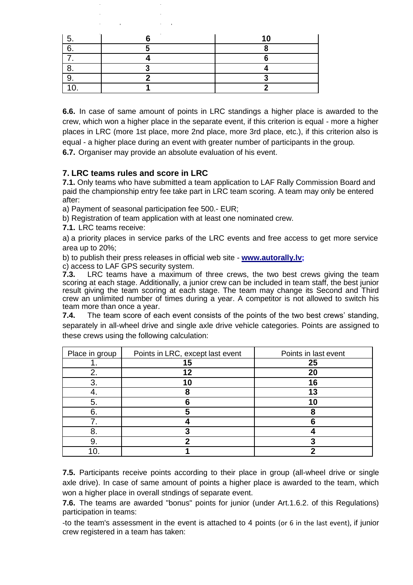**6.6.** In case of same amount of points in LRC standings a higher place is awarded to the crew, which won a higher place in the separate event, if this criterion is equal - more a higher places in LRC (more 1st place, more 2nd place, more 3rd place, etc.), if this criterion also is equal - a higher place during an event with greater number of participants in the group.

**6.7.** Organiser may provide an absolute evaluation of his event.

# **7. LRC teams rules and score in LRC**

**7.1.** Only teams who have submitted a team application to LAF Rally Commission Board and paid the championship entry fee take part in LRC team scoring. A team may only be entered after:

a) Payment of seasonal participation fee 500.- EUR;

b) Registration of team application with at least one nominated crew.

**7.1.** LRC teams receive:

a) a priority places in service parks of the LRC events and free access to get more service area up to 20%;

b) to publish their press releases in official web site - **www.autorally.lv;**

c) access to LAF GPS security system.

**7.3.** LRC teams have a maximum of three crews, the two best crews giving the team scoring at each stage. Additionally, a junior crew can be included in team staff, the best junior result giving the team scoring at each stage. The team may change its Second and Third crew an unlimited number of times during a year. A competitor is not allowed to switch his team more than once a year.

**7.4.** The team score of each event consists of the points of the two best crews' standing, separately in all-wheel drive and single axle drive vehicle categories. Points are assigned to these crews using the following calculation:

| Place in group | Points in LRC, except last event | Points in last event |
|----------------|----------------------------------|----------------------|
|                | 15                               | 25                   |
|                | 12                               | 20                   |
|                | 10                               | 16                   |
|                |                                  | 13                   |
|                |                                  | 1 Π                  |
|                |                                  |                      |
|                |                                  |                      |
|                |                                  |                      |
|                |                                  |                      |
|                |                                  |                      |

**7.5.** Participants receive points according to their place in group (all-wheel drive or single axle drive). In case of same amount of points a higher place is awarded to the team, which won a higher place in overall stndings of separate event.

**7.6.** The teams are awarded "bonus" points for junior (under Art.1.6.2. of this Regulations) participation in teams:

-to the team's assessment in the event is attached to 4 points (or 6 in the last event), if junior crew registered in a team has taken: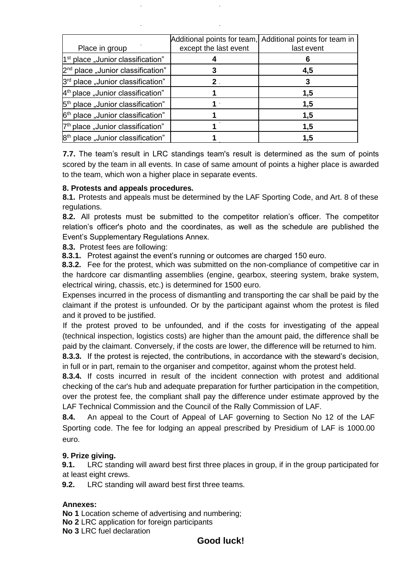| Place in group                                | except the last event | Additional points for team, Additional points for team in<br>last event |
|-----------------------------------------------|-----------------------|-------------------------------------------------------------------------|
| 1 <sup>st</sup> place "Junior classification" |                       |                                                                         |
| 2 <sup>nd</sup> place "Junior classification" |                       | 4,5                                                                     |
| 3 <sup>rd</sup> place "Junior classification" |                       |                                                                         |
| $4th$ place "Junior classification"           |                       | 1,5                                                                     |
| 5 <sup>th</sup> place "Junior classification" |                       | 1,5                                                                     |
| 6 <sup>th</sup> place "Junior classification" |                       | 1,5                                                                     |
| 7 <sup>th</sup> place "Junior classification" |                       | 1,5                                                                     |
| 8 <sup>th</sup> place "Junior classification" |                       | 1,5                                                                     |

**7.7.** The team's result in LRC standings team's result is determined as the sum of points scored by the team in all events. In case of same amount of points a higher place is awarded to the team, which won a higher place in separate events.

## **8. Protests and appeals procedures.**

**8.1.** Protests and appeals must be determined by the LAF Sporting Code, and Art. 8 of these regulations.

**8.2.** All protests must be submitted to the competitor relation's officer. The competitor relation's officer's photo and the coordinates, as well as the schedule are published the Event's Supplementary Regulations Annex.

**8.3.** Protest fees are following:

**8.3.1.** Protest against the event's running or outcomes are charged 150 euro.

**8.3.2.** Fee for the protest, which was submitted on the non-compliance of competitive car in the hardcore car dismantling assemblies (engine, gearbox, steering system, brake system, electrical wiring, chassis, etc.) is determined for 1500 euro.

Expenses incurred in the process of dismantling and transporting the car shall be paid by the claimant if the protest is unfounded. Or by the participant against whom the protest is filed and it proved to be justified.

If the protest proved to be unfounded, and if the costs for investigating of the appeal (technical inspection, logistics costs) are higher than the amount paid, the difference shall be paid by the claimant. Conversely, if the costs are lower, the difference will be returned to him.

**8.3.3.** If the protest is rejected, the contributions, in accordance with the steward's decision, in full or in part, remain to the organiser and competitor, against whom the protest held.

**8.3.4.** If costs incurred in result of the incident connection with protest and additional checking of the car's hub and adequate preparation for further participation in the competition, over the protest fee, the compliant shall pay the difference under estimate approved by the LAF Technical Commission and the Council of the Rally Commission of LAF.

**8.4.** An appeal to the Court of Appeal of LAF governing to Section No 12 of the LAF Sporting code. The fee for lodging an appeal prescribed by Presidium of LAF is 1000.00 euro.

# **9. Prize giving.**

**9.1.** LRC standing will award best first three places in group, if in the group participated for at least eight crews.

**9.2.** LRC standing will award best first three teams.

# **Annexes:**

**No 1** Location scheme of advertising and numbering;

**No 2** LRC application for foreign participants

**No 3** LRC fuel declaration

# **Good luck!**